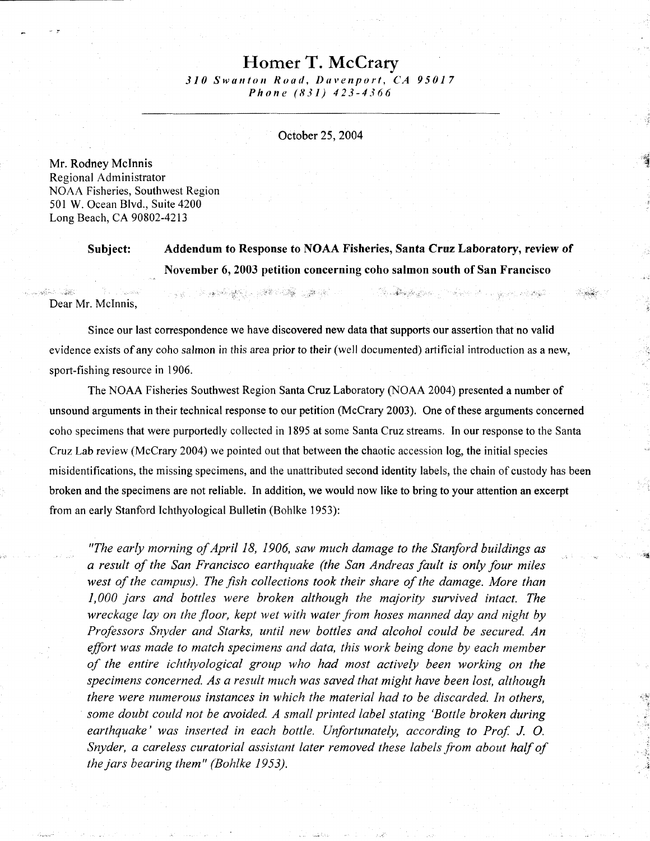## Homer T. McCrary

310 Swunlon Road, Duvanport, CA 95017 Phone (831) 423-4366

October 25.2004

Mr. Rodney Mclnnis Regional Administrator NOAA Fisheries, Southwest Region 501 W. Ocean Blvd., Suite 4200 Long Beach, CA 90802-4213

> Subject: Addendum to Response to NOAA Fisheries, Santa Cruz Laboratory, review of . November 6, 2003 petition concerning coho salmon south of San Francisco

> > a a Marita Granda a Carta de Carta de Alguns

Dear Mr. Mclnnis,

Since our last correspondence we have discovered new data that supports our assertion that no valid evidence exists of any coho salmon in this area prior to their (well documented) artificial introduction as a new, sport-fishing resource in 1906.

- 1999年 - 1998年 - 1998年 - 1999年 - 1999年<br>1990年 - 1990年 - 1990年 - 1990年 - 1990年 - 1990年 - 1990年 - 1990年 - 1990年 - 1990年 - 1990年 - 1990年 - 1990年 - 1990年

The NOAA Fisheries Southwest Region Santa Cruz Laboratory (NOAA 2004) presented a number of unsound arguments in their technical response to our petition (McCrary 2003). One of these arguments concerned coho specimens that were purportedly collected in 1895 at some Santa Cruz streams. In our response to the Santa CruzLab review (McCrary 2004) we pointed out that between the chaotic accession log, the initial species misidentifications, the missing specimens, and the unattributed second identity labels, the chain of custody has been broken and the specimens are not reliable. In addition, we would now like to bring to your attention an excerpt from an early Stanford Ichthyological Bulletin (Bohlke 1953):

"The early morning of April 18, 1906, saw much damage to the Stanford buildings as a result of the San Francisco earthquake (the San Andreas fault is only four miles west of the campus). The fish collections took their share of the damage. More than 1,000 jars and bottles were broken although the majority survived intact. The wreckage lay on the floor, kept wet with water from hoses manned day and night by Professors Snyder and Starks, until new bottles and alcohol could be secured. An effort was made to match specimens and data, this work being done by each member of the entire ichthyological group who had most actively been working on the specimens concerned. As a result much was saved that might have been lost, although there were numerous instances in which the material had to be discarded. In others, some doubt could not be avoided. A small printed label stating 'Bottle broken during earthquake' was inserted in each bottle. Unfortunately, according to Prof. J. O. Snyder, a careless curatorial assistant later removed these labels from about half of the jars bearing them" (Bohlke 1953).